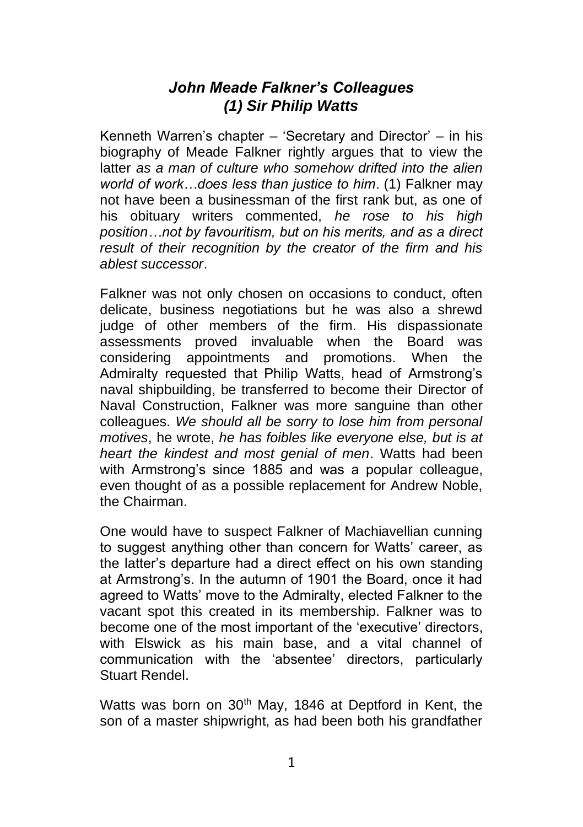## *John Meade Falkner's Colleagues (1) Sir Philip Watts*

Kenneth Warren's chapter – 'Secretary and Director' – in his biography of Meade Falkner rightly argues that to view the latter *as a man of culture who somehow drifted into the alien world of work…does less than justice to him*. (1) Falkner may not have been a businessman of the first rank but, as one of his obituary writers commented, *he rose to his high position…not by favouritism, but on his merits, and as a direct result of their recognition by the creator of the firm and his ablest successor*.

Falkner was not only chosen on occasions to conduct, often delicate, business negotiations but he was also a shrewd judge of other members of the firm. His dispassionate assessments proved invaluable when the Board was considering appointments and promotions. When the Admiralty requested that Philip Watts, head of Armstrong's naval shipbuilding, be transferred to become their Director of Naval Construction, Falkner was more sanguine than other colleagues. *We should all be sorry to lose him from personal motives*, he wrote, *he has foibles like everyone else, but is at heart the kindest and most genial of men*. Watts had been with Armstrong's since 1885 and was a popular colleague. even thought of as a possible replacement for Andrew Noble, the Chairman.

One would have to suspect Falkner of Machiavellian cunning to suggest anything other than concern for Watts' career, as the latter's departure had a direct effect on his own standing at Armstrong's. In the autumn of 1901 the Board, once it had agreed to Watts' move to the Admiralty, elected Falkner to the vacant spot this created in its membership. Falkner was to become one of the most important of the 'executive' directors, with Elswick as his main base, and a vital channel of communication with the 'absentee' directors, particularly Stuart Rendel.

Watts was born on 30<sup>th</sup> May, 1846 at Deptford in Kent, the son of a master shipwright, as had been both his grandfather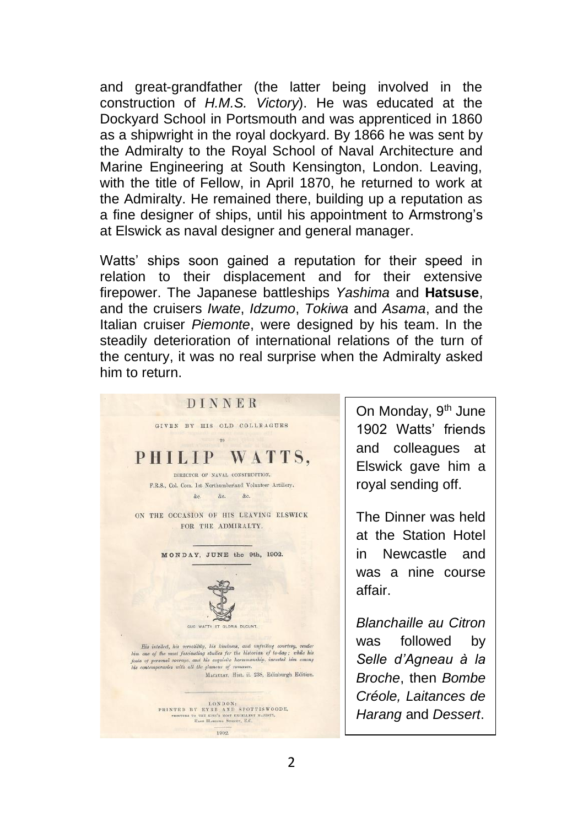and great-grandfather (the latter being involved in the construction of *H.M.S. Victory*). He was educated at the Dockyard School in Portsmouth and was apprenticed in 1860 as a shipwright in the royal dockyard. By 1866 he was sent by the Admiralty to the Royal School of Naval Architecture and Marine Engineering at South Kensington, London. Leaving, with the title of Fellow, in April 1870, he returned to work at the Admiralty. He remained there, building up a reputation as a fine designer of ships, until his appointment to Armstrong's at Elswick as naval designer and general manager.

Watts' ships soon gained a reputation for their speed in relation to their displacement and for their extensive firepower. The Japanese battleships *Yashima* and **Hatsuse**, and the cruisers *Iwate*, *Idzumo*, *Tokiwa* and *Asama*, and the Italian cruiser *Piemonte*, were designed by his team. In the steadily deterioration of international relations of the turn of the century, it was no real surprise when the Admiralty asked him to return.



On Monday, 9<sup>th</sup> June 1902 Watts' friends and colleagues at Elswick gave him a royal sending off.

The Dinner was held at the Station Hotel in Newcastle and was a nine course affair.

*Blanchaille au Citron* was followed by *Selle d'Agneau à la Broche*, then *Bombe Créole, Laitances de Harang* and *Dessert*.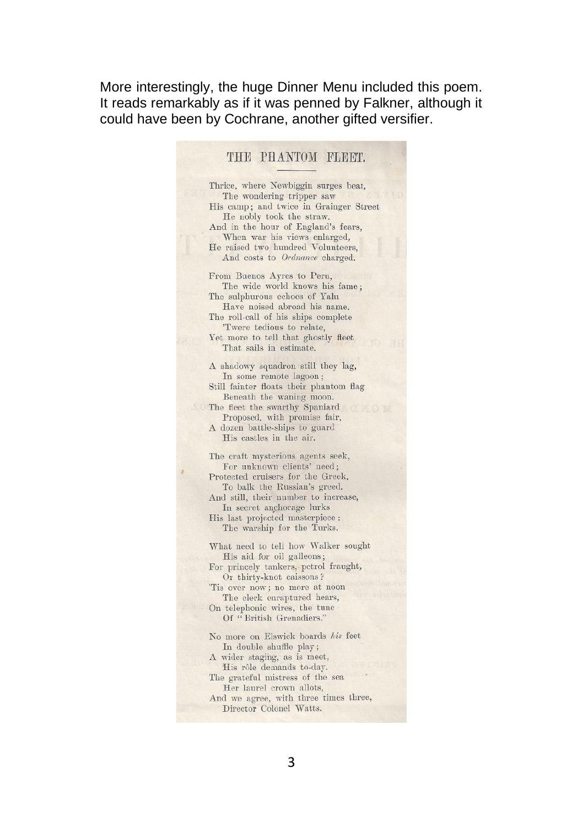More interestingly, the huge Dinner Menu included this poem. It reads remarkably as if it was penned by Falkner, although it could have been by Cochrane, another gifted versifier.

## THE PHANTOM FLEET.

Thrice, where Newbiggin surges beat, The wondering tripper saw His camp; and twice in Grainger Street He nobly took the straw. And in the hour of England's fears, When war his views enlarged, He raised two hundred Volunteers, And costs to Ordnance charged. From Buenos Avres to Peru. The wide world knows his fame: The sulphurous echoes of Yalu Have noised abroad his name. The roll-call of his ships complete 'Twere tedious to relate, Yet more to tell that ghostly fleet That sails in estimate. A shadowy squadron still they lag, In some remote lagoon; Still fainter floats their phantom flag Beneath the waning moon. The fleet the swarthy Spaniard Proposed, with promise fair, A dozen battle-ships to guard His castles in the air. The craft mysterious agents seek. For unknown clients' need; Protected cruisers for the Greek, To balk the Russian's greed. And still, their number to increase, In secret anchorage lurks His last projected masterpiece: The warship for the Turks. What need to tell how Walker sought His aid for oil galleons; For princely tankers, petrol fraught, Or thirty-knot caissons? 'Tis over now; no more at noon The clerk enraptured hears, On telephonic wires, the tune Of "British Grenadiers." No more on Elswick boards his feet In double shuffle play; A wider staging, as is meet, His rôle demands to-day. The grateful mistress of the sea Her laurel crown allots, And we agree, with three times three, Director Colonel Watts.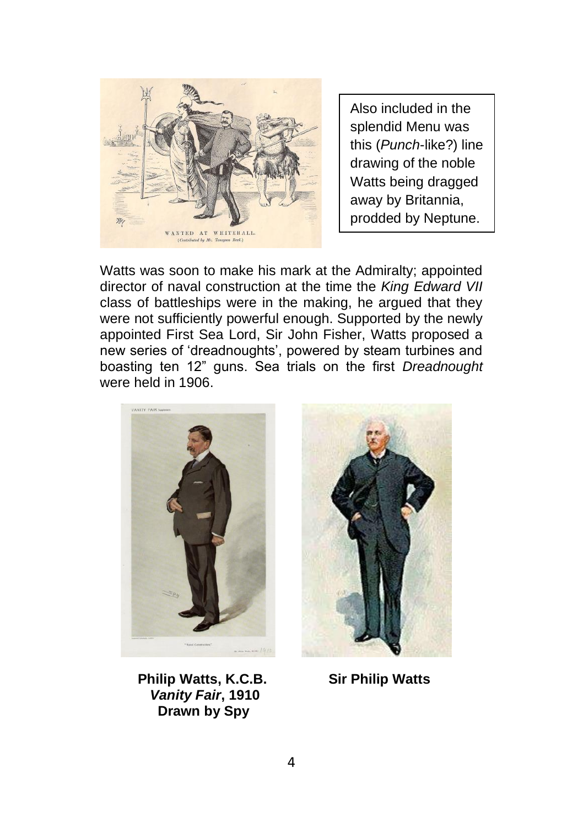

Also included in the splendid Menu was this (*Punch*-like?) line drawing of the noble Watts being dragged away by Britannia, prodded by Neptune.

Watts was soon to make his mark at the Admiralty; appointed director of naval construction at the time the *King Edward VII* class of battleships were in the making, he argued that they were not sufficiently powerful enough. Supported by the newly appointed First Sea Lord, Sir John Fisher, Watts proposed a new series of 'dreadnoughts', powered by steam turbines and boasting ten 12" guns. Sea trials on the first *Dreadnought* were held in 1906.





 **Philip Watts, K.C.B. Sir Philip Watts**  *Vanity Fair***, 1910 Drawn by Spy**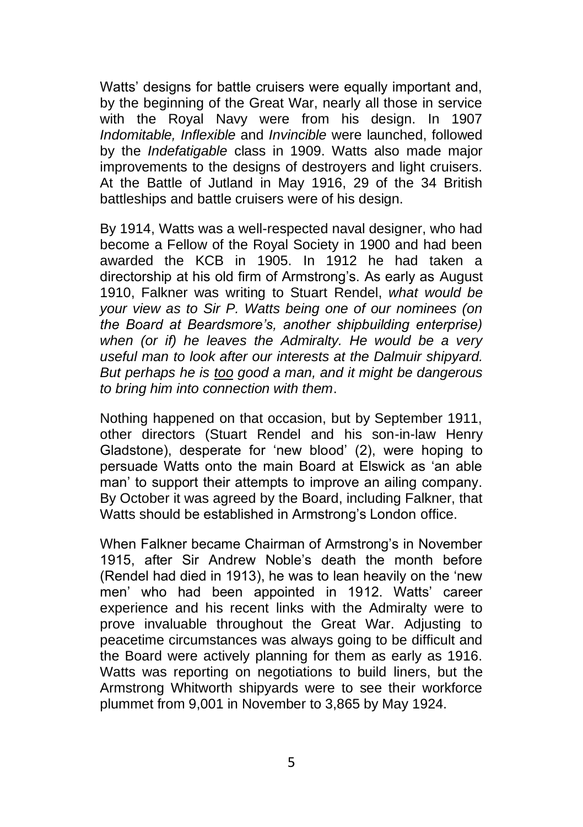Watts' designs for battle cruisers were equally important and, by the beginning of the Great War, nearly all those in service with the Royal Navy were from his design. In 1907 *Indomitable, Inflexible* and *Invincible* were launched, followed by the *Indefatigable* class in 1909. Watts also made major improvements to the designs of destroyers and light cruisers. At the Battle of Jutland in May 1916, 29 of the 34 British battleships and battle cruisers were of his design.

By 1914, Watts was a well-respected naval designer, who had become a Fellow of the Royal Society in 1900 and had been awarded the KCB in 1905. In 1912 he had taken a directorship at his old firm of Armstrong's. As early as August 1910, Falkner was writing to Stuart Rendel, *what would be your view as to Sir P. Watts being one of our nominees (on the Board at Beardsmore's, another shipbuilding enterprise) when (or if) he leaves the Admiralty. He would be a very useful man to look after our interests at the Dalmuir shipyard. But perhaps he is too good a man, and it might be dangerous to bring him into connection with them*.

Nothing happened on that occasion, but by September 1911, other directors (Stuart Rendel and his son-in-law Henry Gladstone), desperate for 'new blood' (2), were hoping to persuade Watts onto the main Board at Elswick as 'an able man' to support their attempts to improve an ailing company. By October it was agreed by the Board, including Falkner, that Watts should be established in Armstrong's London office.

When Falkner became Chairman of Armstrong's in November 1915, after Sir Andrew Noble's death the month before (Rendel had died in 1913), he was to lean heavily on the 'new men' who had been appointed in 1912. Watts' career experience and his recent links with the Admiralty were to prove invaluable throughout the Great War. Adjusting to peacetime circumstances was always going to be difficult and the Board were actively planning for them as early as 1916. Watts was reporting on negotiations to build liners, but the Armstrong Whitworth shipyards were to see their workforce plummet from 9,001 in November to 3,865 by May 1924.